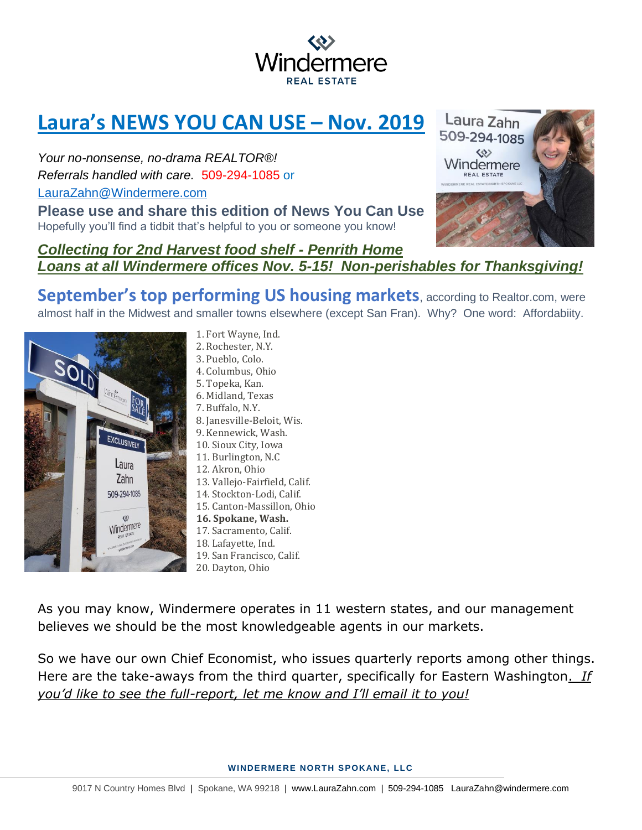

## **Laura's NEWS YOU CAN USE – Nov. 2019**

*Your no-nonsense, no-drama REALTOR®! Referrals handled with care.* 509-294-1085 or [LauraZahn@Windermere.com](mailto:LauraZahn@Windermere.com)

**Please use and share this edition of News You Can Use**  Hopefully you'll find a tidbit that's helpful to you or someone you know!



## *Collecting for 2nd Harvest food shelf - Penrith Home Loans at all Windermere offices Nov. 5-15! Non-perishables for Thanksgiving!*

**September's top performing US housing markets**, according to Realtor.com, were almost half in the Midwest and smaller towns elsewhere (except San Fran). Why? One word: Affordabiity.



1. Fort Wayne, Ind. 2. Rochester, N.Y. 3. Pueblo, Colo. 4. Columbus, Ohio 5. Topeka, Kan. 6. Midland, Texas 7. Buffalo, N.Y. 8. Janesville-Beloit, Wis. 9. Kennewick, Wash. 10. Sioux City, Iowa 11. Burlington, N.C 12. Akron, Ohio 13. Vallejo-Fairfield, Calif. 14. Stockton-Lodi, Calif. 15. Canton-Massillon, Ohio **16. Spokane, Wash.** 17. Sacramento, Calif. 18. Lafayette, Ind. 19. San Francisco, Calif. 20. Dayton, Ohio

As you may know, Windermere operates in 11 western states, and our management believes we should be the most knowledgeable agents in our markets.

So we have our own Chief Economist, who issues quarterly reports among other things. Here are the take-aways from the third quarter, specifically for Eastern Washington. *If you'd like to see the full-report, let me know and I'll email it to you!*

**WINDERMERE NORTH SPOKANE, LLC**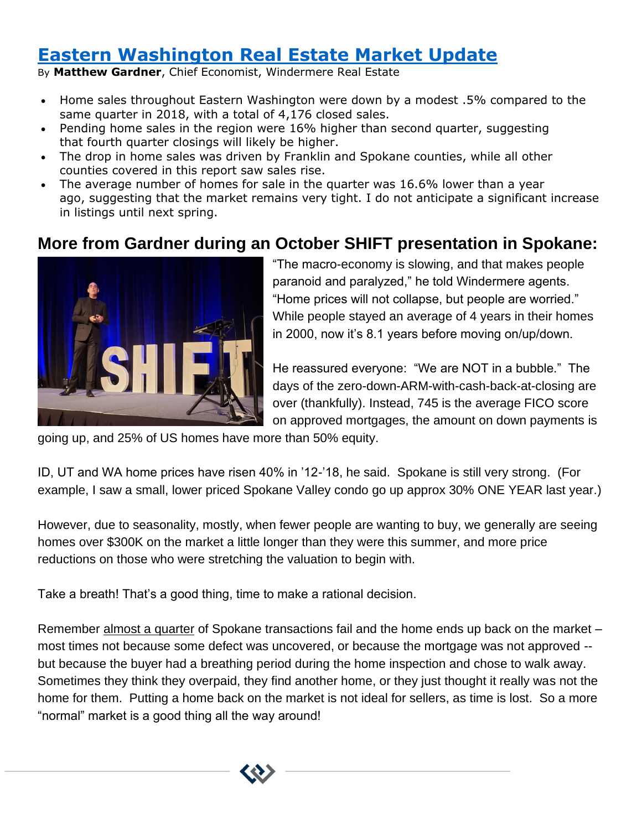## **[Eastern Washington Real Estate Market Update](https://www.windermere.com/blogs/windermere/posts/eastern-washington-real-estate-market-update--12)**

By **Matthew Gardner**, Chief Economist, Windermere Real Estate

- Home sales throughout Eastern Washington were down by a modest .5% compared to the same quarter in 2018, with a total of 4,176 closed sales.
- Pending home sales in the region were 16% higher than second quarter, suggesting that fourth quarter closings will likely be higher.
- The drop in home sales was driven by Franklin and Spokane counties, while all other counties covered in this report saw sales rise.
- The average number of homes for sale in the quarter was 16.6% lower than a year ago, suggesting that the market remains very tight. I do not anticipate a significant increase in listings until next spring.

## **More from Gardner during an October SHIFT presentation in Spokane:**



"The macro-economy is slowing, and that makes people paranoid and paralyzed," he told Windermere agents. "Home prices will not collapse, but people are worried." While people stayed an average of 4 years in their homes in 2000, now it's 8.1 years before moving on/up/down.

He reassured everyone: "We are NOT in a bubble." The days of the zero-down-ARM-with-cash-back-at-closing are over (thankfully). Instead, 745 is the average FICO score on approved mortgages, the amount on down payments is

going up, and 25% of US homes have more than 50% equity.

ID, UT and WA home prices have risen 40% in '12-'18, he said. Spokane is still very strong. (For example, I saw a small, lower priced Spokane Valley condo go up approx 30% ONE YEAR last year.)

However, due to seasonality, mostly, when fewer people are wanting to buy, we generally are seeing homes over \$300K on the market a little longer than they were this summer, and more price reductions on those who were stretching the valuation to begin with.

Take a breath! That's a good thing, time to make a rational decision.

Remember almost a quarter of Spokane transactions fail and the home ends up back on the market – most times not because some defect was uncovered, or because the mortgage was not approved - but because the buyer had a breathing period during the home inspection and chose to walk away. Sometimes they think they overpaid, they find another home, or they just thought it really was not the home for them. Putting a home back on the market is not ideal for sellers, as time is lost. So a more "normal" market is a good thing all the way around!

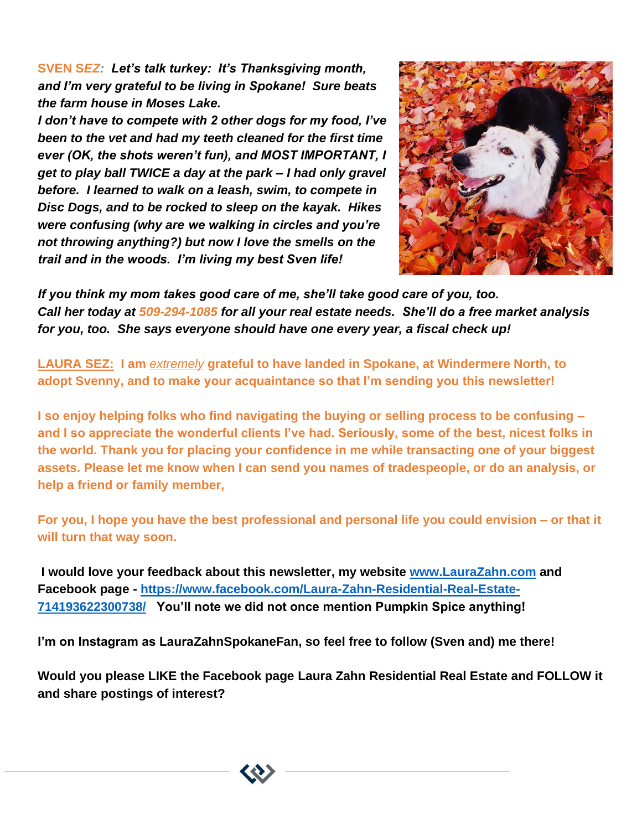**SVEN S***EZ: Let's talk turkey: It's Thanksgiving month, and I'm very grateful to be living in Spokane! Sure beats the farm house in Moses Lake.*

*I don't have to compete with 2 other dogs for my food, I've been to the vet and had my teeth cleaned for the first time ever (OK, the shots weren't fun), and MOST IMPORTANT, I get to play ball TWICE a day at the park – I had only gravel before. I learned to walk on a leash, swim, to compete in Disc Dogs, and to be rocked to sleep on the kayak. Hikes were confusing (why are we walking in circles and you're not throwing anything?) but now I love the smells on the trail and in the woods. I'm living my best Sven life!*



*If you think my mom takes good care of me, she'll take good care of you, too. Call her today at 509-294-1085 for all your real estate needs. She'll do a free market analysis for you, too. She says everyone should have one every year, a fiscal check up!*

**LAURA SEZ: I am** *extremely* **grateful to have landed in Spokane, at Windermere North, to adopt Svenny, and to make your acquaintance so that I'm sending you this newsletter!**

**I so enjoy helping folks who find navigating the buying or selling process to be confusing – and I so appreciate the wonderful clients I've had. Seriously, some of the best, nicest folks in the world. Thank you for placing your confidence in me while transacting one of your biggest assets. Please let me know when I can send you names of tradespeople, or do an analysis, or help a friend or family member,**

**For you, I hope you have the best professional and personal life you could envision – or that it will turn that way soon.**

**I would love your feedback about this newsletter, my website [www.LauraZahn.com](http://www.laurazahn.com/) and Facebook page - [https://www.facebook.com/Laura-Zahn-Residential-Real-Estate-](https://www.facebook.com/Laura-Zahn-Residential-Real-Estate-714193622300738/)[714193622300738/](https://www.facebook.com/Laura-Zahn-Residential-Real-Estate-714193622300738/) You'll note we did not once mention Pumpkin Spice anything!**

**I'm on Instagram as LauraZahnSpokaneFan, so feel free to follow (Sven and) me there!**

**Would you please LIKE the Facebook page Laura Zahn Residential Real Estate and FOLLOW it and share postings of interest?**